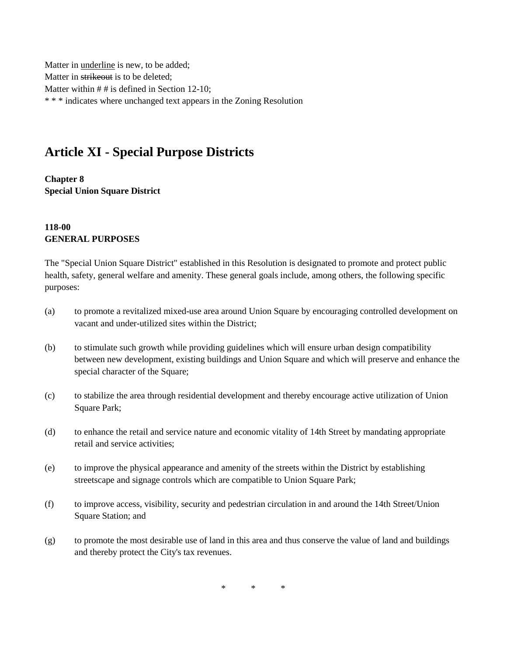Matter in underline is new, to be added; Matter in strikeout is to be deleted; Matter within # # is defined in Section 12-10; \* \* \* indicates where unchanged text appears in the Zoning Resolution

# **Article XI - Special Purpose Districts**

**Chapter 8 Special Union Square District**

#### **118-00 GENERAL PURPOSES**

The "Special Union Square District" established in this Resolution is designated to promote and protect public health, safety, general welfare and amenity. These general goals include, among others, the following specific purposes:

- (a) to promote a revitalized mixed-use area around Union Square by encouraging controlled development on vacant and under-utilized sites within the District;
- (b) to stimulate such growth while providing guidelines which will ensure urban design compatibility between new development, existing buildings and Union Square and which will preserve and enhance the special character of the Square;
- (c) to stabilize the area through residential development and thereby encourage active utilization of Union Square Park;
- (d) to enhance the retail and service nature and economic vitality of 14th Street by mandating appropriate retail and service activities;
- (e) to improve the physical appearance and amenity of the streets within the District by establishing streetscape and signage controls which are compatible to Union Square Park;
- (f) to improve access, visibility, security and pedestrian circulation in and around the 14th Street/Union Square Station; and
- (g) to promote the most desirable use of land in this area and thus conserve the value of land and buildings and thereby protect the City's tax revenues.

 $*$  \* \*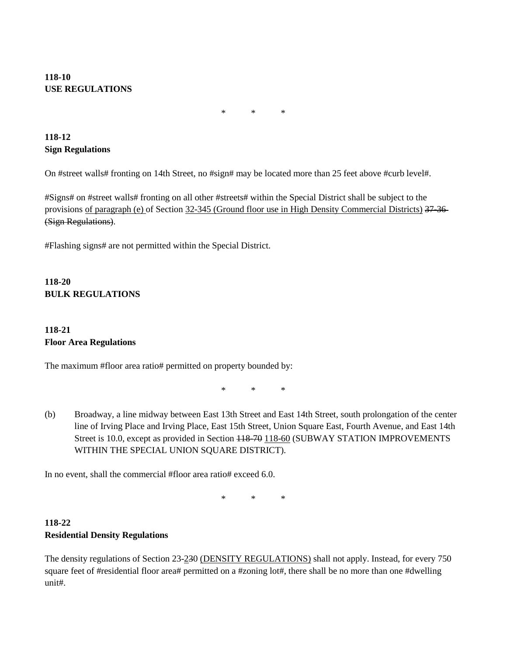# **118-10 USE REGULATIONS**

\* \* \*

## **118-12 Sign Regulations**

On #street walls# fronting on 14th Street, no #sign# may be located more than 25 feet above #curb level#.

#Signs# on #street walls# fronting on all other #streets# within the Special District shall be subject to the provisions of paragraph (e) of Section 32-345 (Ground floor use in High Density Commercial Districts) 37-36 (Sign Regulations).

#Flashing signs# are not permitted within the Special District.

## **118-20 BULK REGULATIONS**

# **118-21 Floor Area Regulations**

The maximum #floor area ratio# permitted on property bounded by:

\* \* \*

(b) Broadway, a line midway between East 13th Street and East 14th Street, south prolongation of the center line of Irving Place and Irving Place, East 15th Street, Union Square East, Fourth Avenue, and East 14th Street is 10.0, except as provided in Section  $118-70$  118-60 (SUBWAY STATION IMPROVEMENTS WITHIN THE SPECIAL UNION SQUARE DISTRICT).

In no event, shall the commercial #floor area ratio# exceed 6.0.

\* \* \*

# **118-22 Residential Density Regulations**

The density regulations of Section 23-230 (DENSITY REGULATIONS) shall not apply. Instead, for every 750 square feet of #residential floor area# permitted on a #zoning lot#, there shall be no more than one #dwelling unit#.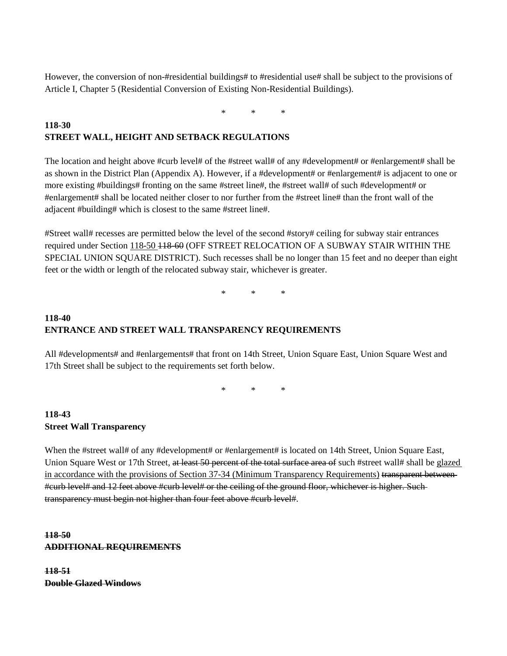However, the conversion of non-#residential buildings# to #residential use# shall be subject to the provisions of Article I, Chapter 5 (Residential Conversion of Existing Non-Residential Buildings).

\* \* \*

#### **118-30 STREET WALL, HEIGHT AND SETBACK REGULATIONS**

The location and height above #curb level# of the #street wall# of any #development# or #enlargement# shall be as shown in the District Plan (Appendix A). However, if a #development# or #enlargement# is adjacent to one or more existing #buildings# fronting on the same #street line#, the #street wall# of such #development# or #enlargement# shall be located neither closer to nor further from the #street line# than the front wall of the adjacent #building# which is closest to the same #street line#.

#Street wall# recesses are permitted below the level of the second #story# ceiling for subway stair entrances required under Section 118-50 118-60 (OFF STREET RELOCATION OF A SUBWAY STAIR WITHIN THE SPECIAL UNION SQUARE DISTRICT). Such recesses shall be no longer than 15 feet and no deeper than eight feet or the width or length of the relocated subway stair, whichever is greater.

\* \* \*

#### **118-40 ENTRANCE AND STREET WALL TRANSPARENCY REQUIREMENTS**

All #developments# and #enlargements# that front on 14th Street, Union Square East, Union Square West and 17th Street shall be subject to the requirements set forth below.

\* \* \*

# **118-43 Street Wall Transparency**

When the #street wall# of any #development# or #enlargement# is located on 14th Street, Union Square East, Union Square West or 17th Street, at least 50 percent of the total surface area of such #street wall# shall be glazed in accordance with the provisions of Section 37-34 (Minimum Transparency Requirements) transparent between-#curb level# and 12 feet above #curb level# or the ceiling of the ground floor, whichever is higher. Such transparency must begin not higher than four feet above #curb level#.

## **118-50 ADDITIONAL REQUIREMENTS**

**118-51 Double Glazed Windows**